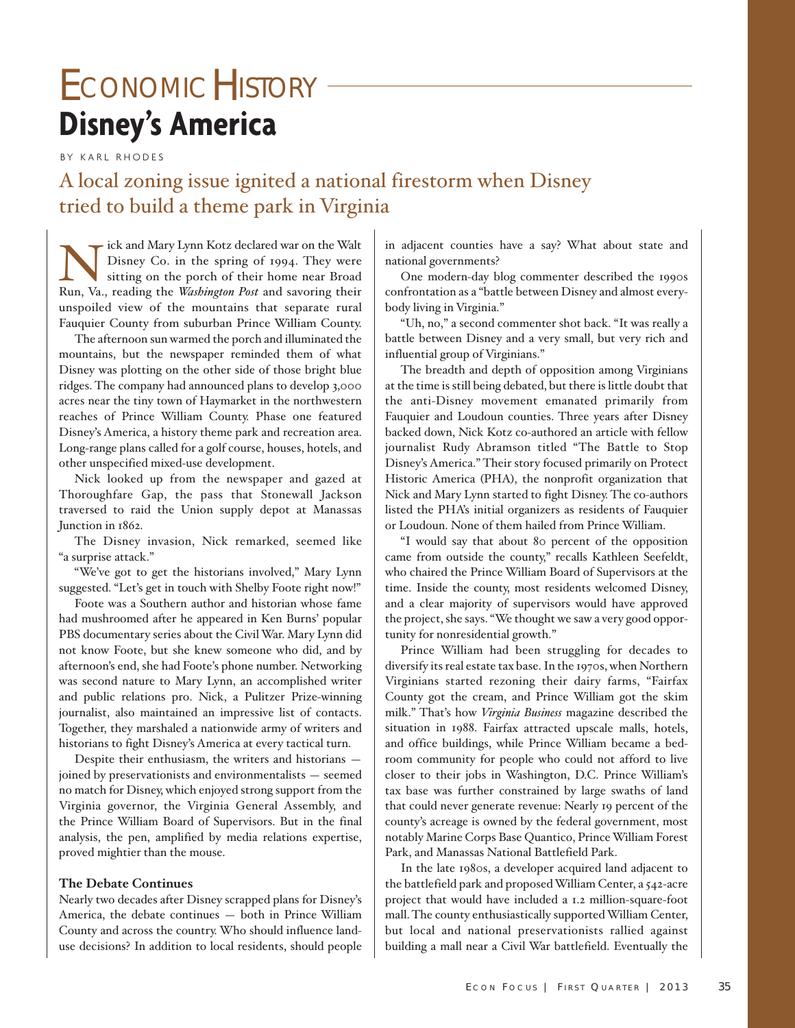# **Disney's America** ECONOMICHISTORY -

BY KARL RHODES

A local zoning issue ignited a national firestorm when Disney tried to build a theme park in Virginia

ick and Mary Lynn Kotz declared war on the Walt Disney Co. in the spring of 1994. They were sitting on the porch of their home near Broad Run, Va., reading the *Washington Post* and savoring their unspoiled view of the mountains that separate rural Fauquier County from suburban Prince William County.

The afternoon sun warmed the porch and illuminated the mountains, but the newspaper reminded them of what Disney was plotting on the other side of those bright blue ridges. The company had announced plans to develop 3,000 acres near the tiny town of Haymarket in the northwestern reaches of Prince William County. Phase one featured Disney's America, a history theme park and recreation area. Long-range plans called for a golf course, houses, hotels, and other unspecified mixed-use development.

Nick looked up from the newspaper and gazed at Thoroughfare Gap, the pass that Stonewall Jackson traversed to raid the Union supply depot at Manassas Junction in 1862.

The Disney invasion, Nick remarked, seemed like "a surprise attack."

"We've got to get the historians involved," Mary Lynn suggested. "Let's get in touch with Shelby Foote right now!"

Foote was a Southern author and historian whose fame had mushroomed after he appeared in Ken Burns' popular PBS documentary series about the Civil War. Mary Lynn did not know Foote, but she knew someone who did, and by afternoon's end, she had Foote's phone number. Networking was second nature to Mary Lynn, an accomplished writer and public relations pro. Nick, a Pulitzer Prize-winning journalist, also maintained an impressive list of contacts. Together, they marshaled a nationwide army of writers and historians to fight Disney's America at every tactical turn.

Despite their enthusiasm, the writers and historians joined by preservationists and environmentalists — seemed no match for Disney, which enjoyed strong support from the Virginia governor, the Virginia General Assembly, and the Prince William Board of Supervisors. But in the final analysis, the pen, amplified by media relations expertise, proved mightier than the mouse.

### **The Debate Continues**

Nearly two decades after Disney scrapped plans for Disney's America, the debate continues — both in Prince William County and across the country. Who should influence landuse decisions? In addition to local residents, should people

in adjacent counties have a say? What about state and national governments?

One modern-day blog commenter described the 1990s confrontation as a "battle between Disney and almost everybody living in Virginia."

"Uh, no," a second commenter shot back. "It was really a battle between Disney and a very small, but very rich and influential group of Virginians."

The breadth and depth of opposition among Virginians at the time is still being debated, but there is little doubt that the anti-Disney movement emanated primarily from Fauquier and Loudoun counties. Three years after Disney backed down, Nick Kotz co-authored an article with fellow journalist Rudy Abramson titled "The Battle to Stop Disney's America." Their story focused primarily on Protect Historic America (PHA), the nonprofit organization that Nick and Mary Lynn started to fight Disney. The co-authors listed the PHA's initial organizers as residents of Fauquier or Loudoun. None of them hailed from Prince William.

"I would say that about 80 percent of the opposition came from outside the county," recalls Kathleen Seefeldt, who chaired the Prince William Board of Supervisors at the time. Inside the county, most residents welcomed Disney, and a clear majority of supervisors would have approved the project, she says. "We thought we saw a very good opportunity for nonresidential growth."

Prince William had been struggling for decades to diversify its real estate tax base. In the 1970s, when Northern Virginians started rezoning their dairy farms, "Fairfax County got the cream, and Prince William got the skim milk." That's how *Virginia Business* magazine described the situation in 1988. Fairfax attracted upscale malls, hotels, and office buildings, while Prince William became a bedroom community for people who could not afford to live closer to their jobs in Washington, D.C. Prince William's tax base was further constrained by large swaths of land that could never generate revenue: Nearly 19 percent of the county's acreage is owned by the federal government, most notably Marine Corps Base Quantico, Prince William Forest Park, and Manassas National Battlefield Park.

In the late 1980s, a developer acquired land adjacent to the battlefield park and proposed William Center, a 542-acre project that would have included a 1.2 million-square-foot mall. The county enthusiastically supported William Center, but local and national preservationists rallied against building a mall near a Civil War battlefield. Eventually the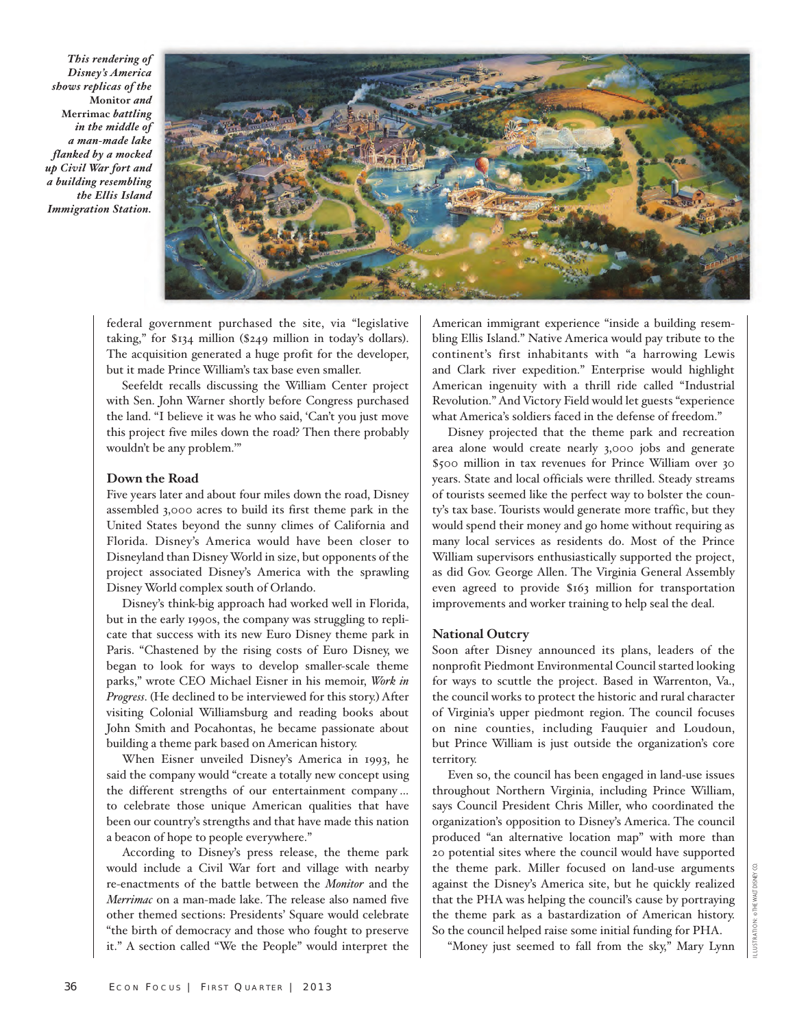*This rendering of Disney's America shows replicas of the* **Monitor** *and* **Merrimac** *battling in the middle of a man-made lake flanked by a mocked up Civil War fort and a building resembling the Ellis Island Immigration Station.*



federal government purchased the site, via "legislative taking," for \$134 million (\$249 million in today's dollars). The acquisition generated a huge profit for the developer, but it made Prince William's tax base even smaller.

Seefeldt recalls discussing the William Center project with Sen. John Warner shortly before Congress purchased the land. "I believe it was he who said, 'Can't you just move this project five miles down the road? Then there probably wouldn't be any problem.'"

### **Down the Road**

Five years later and about four miles down the road, Disney assembled 3,000 acres to build its first theme park in the United States beyond the sunny climes of California and Florida. Disney's America would have been closer to Disneyland than Disney World in size, but opponents of the project associated Disney's America with the sprawling Disney World complex south of Orlando.

Disney's think-big approach had worked well in Florida, but in the early 1990s, the company was struggling to replicate that success with its new Euro Disney theme park in Paris. "Chastened by the rising costs of Euro Disney, we began to look for ways to develop smaller-scale theme parks," wrote CEO Michael Eisner in his memoir, *Work in Progress*. (He declined to be interviewed for this story.) After visiting Colonial Williamsburg and reading books about John Smith and Pocahontas, he became passionate about building a theme park based on American history.

When Eisner unveiled Disney's America in 1993, he said the company would "create a totally new concept using the different strengths of our entertainment company … to celebrate those unique American qualities that have been our country's strengths and that have made this nation a beacon of hope to people everywhere."

According to Disney's press release, the theme park would include a Civil War fort and village with nearby re-enactments of the battle between the *Monitor* and the *Merrimac* on a man-made lake. The release also named five other themed sections: Presidents' Square would celebrate "the birth of democracy and those who fought to preserve it." A section called "We the People" would interpret the American immigrant experience "inside a building resembling Ellis Island." Native America would pay tribute to the continent's first inhabitants with "a harrowing Lewis and Clark river expedition." Enterprise would highlight American ingenuity with a thrill ride called "Industrial Revolution." And Victory Field would let guests "experience what America's soldiers faced in the defense of freedom."

Disney projected that the theme park and recreation area alone would create nearly 3,000 jobs and generate \$500 million in tax revenues for Prince William over 30 years. State and local officials were thrilled. Steady streams of tourists seemed like the perfect way to bolster the county's tax base. Tourists would generate more traffic, but they would spend their money and go home without requiring as many local services as residents do. Most of the Prince William supervisors enthusiastically supported the project, as did Gov. George Allen. The Virginia General Assembly even agreed to provide \$163 million for transportation improvements and worker training to help seal the deal.

# **National Outcry**

Soon after Disney announced its plans, leaders of the nonprofit Piedmont Environmental Council started looking for ways to scuttle the project. Based in Warrenton, Va., the council works to protect the historic and rural character of Virginia's upper piedmont region. The council focuses on nine counties, including Fauquier and Loudoun, but Prince William is just outside the organization's core territory.

Even so, the council has been engaged in land-use issues throughout Northern Virginia, including Prince William, says Council President Chris Miller, who coordinated the organization's opposition to Disney's America. The council produced "an alternative location map" with more than 20 potential sites where the council would have supported the theme park. Miller focused on land-use arguments against the Disney's America site, but he quickly realized that the PHA was helping the council's cause by portraying the theme park as a bastardization of American history. So the council helped raise some initial funding for PHA.